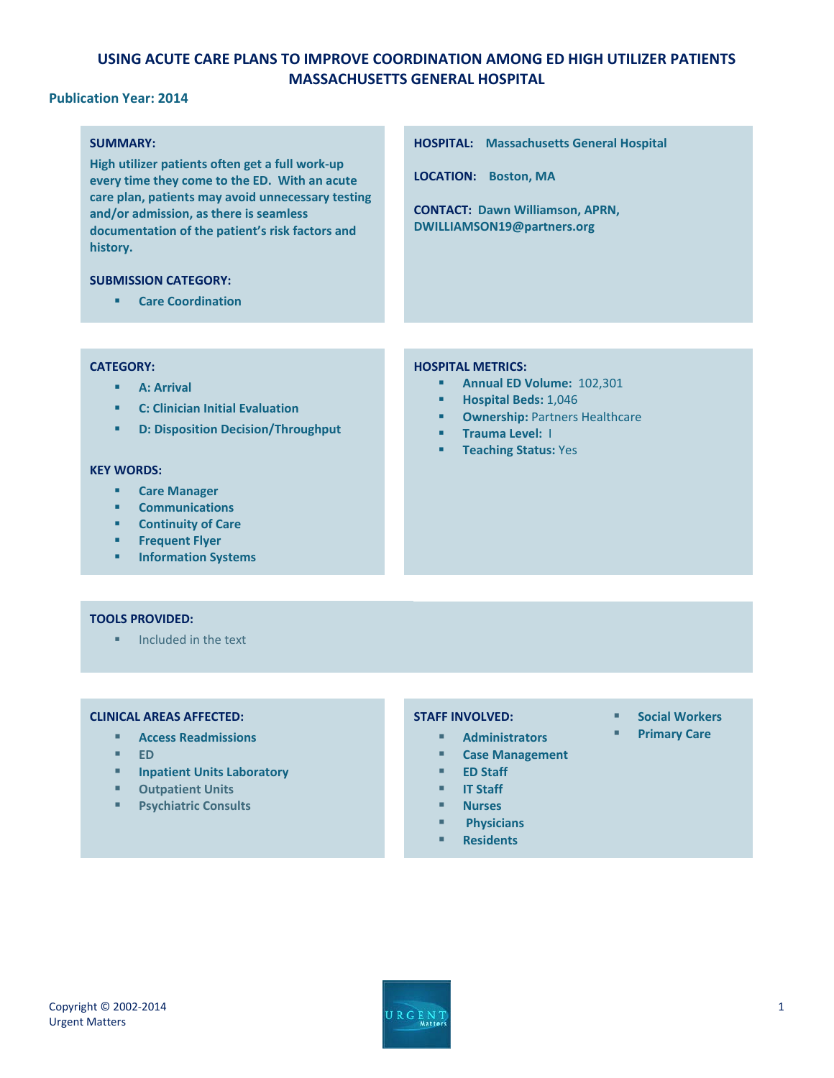# **USING ACUTE CARE PLANS TO IMPROVE COORDINATION AMONG ED HIGH UTILIZER PATIENTS MASSACHUSETTS GENERAL HOSPITAL**

## **Publication Year: 2014**

## **SUMMARY:**

**High utilizer patients often get a full work-up every time they come to the ED. With an acute care plan, patients may avoid unnecessary testing and/or admission, as there is seamless documentation of the patient's risk factors and history.**

#### **SUBMISSION CATEGORY:**

**Care Coordination** 

### **CATEGORY:**

- **A: Arrival**
- **C: Clinician Initial Evaluation**
- **D: Disposition Decision/Throughput**

#### **KEY WORDS:**

- **Care Manager**
- **Communications**
- **EXECUTE:** Continuity of Care
- **Frequent Flyer**
- **Information Systems**

### **TOOLS PROVIDED:**

 $\blacksquare$  Included in the text

### **CLINICAL AREAS AFFECTED:**

- **Access Readmissions**
- **ED**
- **Inpatient Units Laboratory**

- **Outpatient Units**
- **Psychiatric Consults**

### **HOSPITAL METRICS:**

**LOCATION: Boston, MA**

- **Annual ED Volume: 102,301**
- **Hospital Beds:** 1,046
- **F** Ownership: Partners Healthcare

**HOSPITAL: Massachusetts General Hospital**

**CONTACT: Dawn Williamson, APRN, DWILLIAMSON19@partners.org**

- **Trauma Level: I**
- **Teaching Status: Yes**

### **STAFF INVOLVED:**

- **Administrators**
- **Case Management**
- **ED Staff**
- **IT Staff**
- **Nurses**
- **Physicians**
- 
- **Residents**
- **E** Social Workers
- **Primary Care**

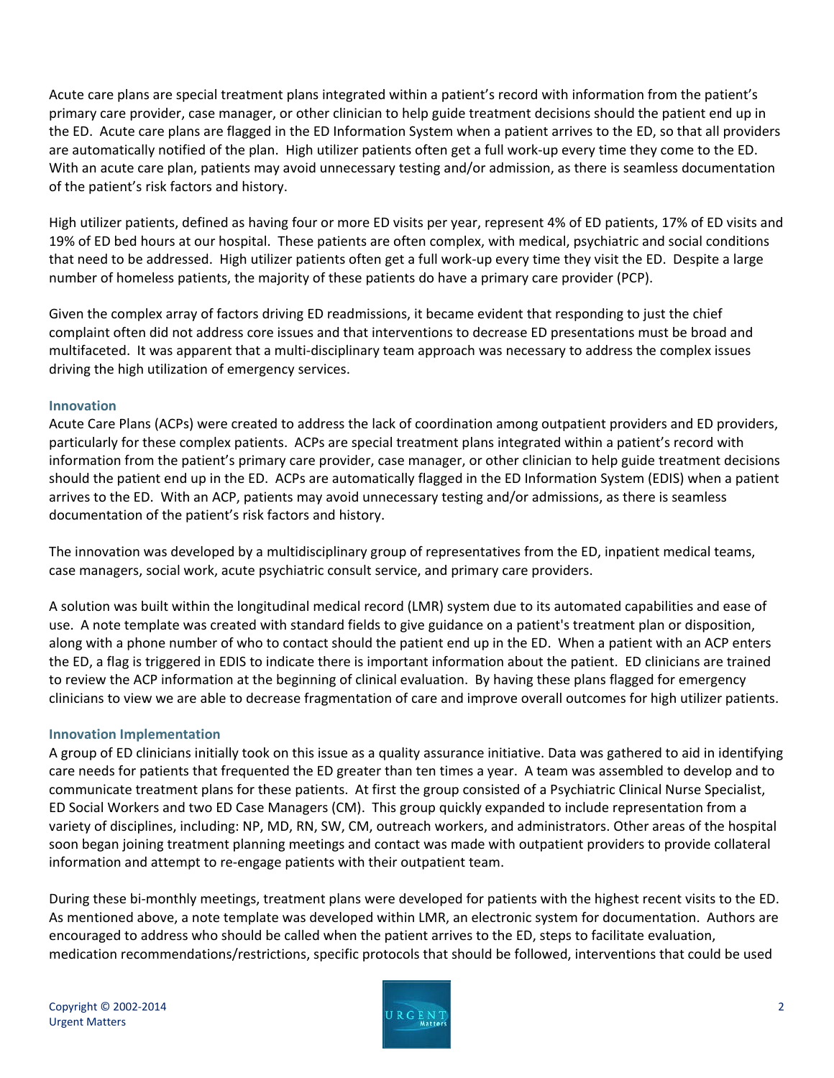Acute care plans are special treatment plans integrated within a patient's record with information from the patient's primary care provider, case manager, or other clinician to help guide treatment decisions should the patient end up in the ED. Acute care plans are flagged in the ED Information System when a patient arrives to the ED, so that all providers are automatically notified of the plan. High utilizer patients often get a full work-up every time they come to the ED. With an acute care plan, patients may avoid unnecessary testing and/or admission, as there is seamless documentation of the patient's risk factors and history.

High utilizer patients, defined as having four or more ED visits per year, represent 4% of ED patients, 17% of ED visits and 19% of ED bed hours at our hospital. These patients are often complex, with medical, psychiatric and social conditions that need to be addressed. High utilizer patients often get a full work-up every time they visit the ED. Despite a large number of homeless patients, the majority of these patients do have a primary care provider (PCP).

Given the complex array of factors driving ED readmissions, it became evident that responding to just the chief complaint often did not address core issues and that interventions to decrease ED presentations must be broad and multifaceted. It was apparent that a multi-disciplinary team approach was necessary to address the complex issues driving the high utilization of emergency services.

## **Innovation**

Acute Care Plans (ACPs) were created to address the lack of coordination among outpatient providers and ED providers, particularly for these complex patients. ACPs are special treatment plans integrated within a patient's record with information from the patient's primary care provider, case manager, or other clinician to help guide treatment decisions should the patient end up in the ED. ACPs are automatically flagged in the ED Information System (EDIS) when a patient arrives to the ED. With an ACP, patients may avoid unnecessary testing and/or admissions, as there is seamless documentation of the patient's risk factors and history.

The innovation was developed by a multidisciplinary group of representatives from the ED, inpatient medical teams, case managers, social work, acute psychiatric consult service, and primary care providers.

A solution was built within the longitudinal medical record (LMR) system due to its automated capabilities and ease of use. A note template was created with standard fields to give guidance on a patient's treatment plan or disposition, along with a phone number of who to contact should the patient end up in the ED. When a patient with an ACP enters the ED, a flag is triggered in EDIS to indicate there is important information about the patient. ED clinicians are trained to review the ACP information at the beginning of clinical evaluation. By having these plans flagged for emergency clinicians to view we are able to decrease fragmentation of care and improve overall outcomes for high utilizer patients.

## **Innovation Implementation**

A group of ED clinicians initially took on this issue as a quality assurance initiative. Data was gathered to aid in identifying care needs for patients that frequented the ED greater than ten times a year. A team was assembled to develop and to communicate treatment plans for these patients. At first the group consisted of a Psychiatric Clinical Nurse Specialist, ED Social Workers and two ED Case Managers (CM). This group quickly expanded to include representation from a variety of disciplines, including: NP, MD, RN, SW, CM, outreach workers, and administrators. Other areas of the hospital soon began joining treatment planning meetings and contact was made with outpatient providers to provide collateral information and attempt to re-engage patients with their outpatient team.

During these bi-monthly meetings, treatment plans were developed for patients with the highest recent visits to the ED. As mentioned above, a note template was developed within LMR, an electronic system for documentation. Authors are encouraged to address who should be called when the patient arrives to the ED, steps to facilitate evaluation, medication recommendations/restrictions, specific protocols that should be followed, interventions that could be used

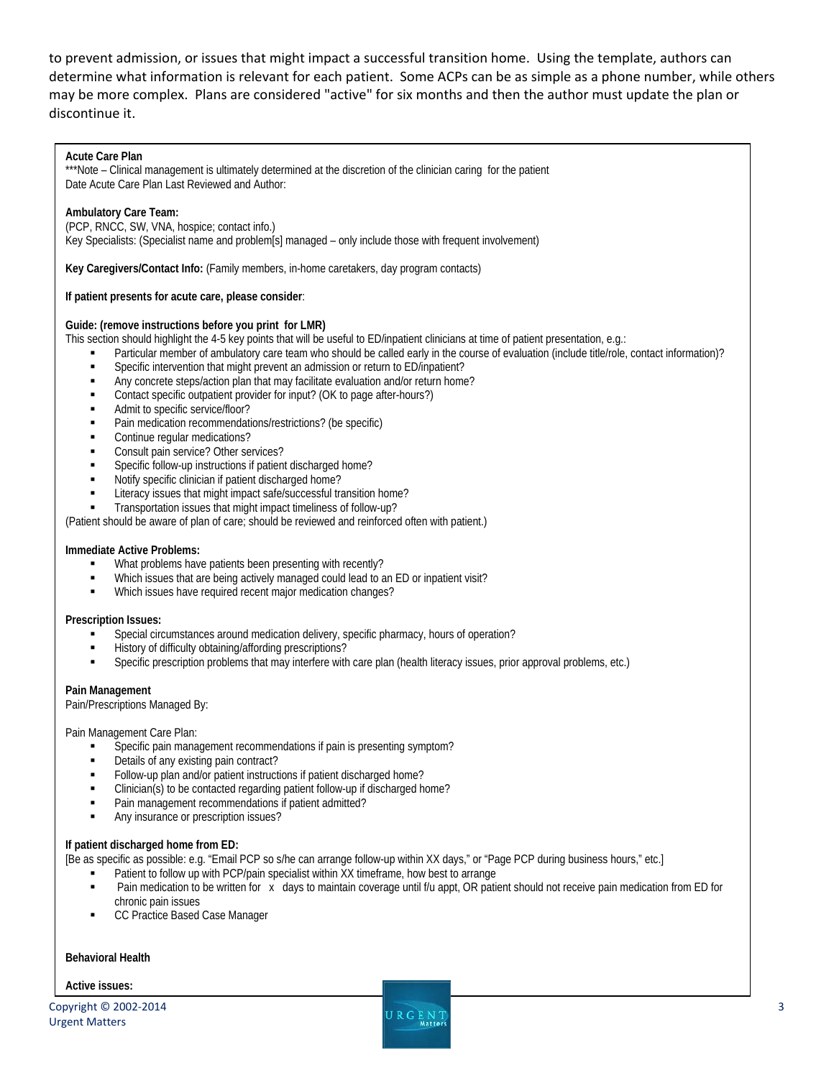to prevent admission, or issues that might impact a successful transition home. Using the template, authors can determine what information is relevant for each patient. Some ACPs can be as simple as a phone number, while others may be more complex. Plans are considered "active" for six months and then the author must update the plan or discontinue it.

#### **Acute Care Plan**

\*\*\*Note – Clinical management is ultimately determined at the discretion of the clinician caring for the patient Date Acute Care Plan Last Reviewed and Author:

#### **Ambulatory Care Team:**

(PCP, RNCC, SW, VNA, hospice; contact info.)

Key Specialists: (Specialist name and problem[s] managed – only include those with frequent involvement)

**Key Caregivers/Contact Info:** (Family members, in-home caretakers, day program contacts)

**If patient presents for acute care, please consider**:

#### **Guide: (remove instructions before you print for LMR)**

This section should highlight the 4-5 key points that will be useful to ED/inpatient clinicians at time of patient presentation, e.g.:

- Particular member of ambulatory care team who should be called early in the course of evaluation (include title/role, contact information)?
- Specific intervention that might prevent an admission or return to ED/inpatient?
- Any concrete steps/action plan that may facilitate evaluation and/or return home?
- Contact specific outpatient provider for input? (OK to page after-hours?)
- Admit to specific service/floor?
- Pain medication recommendations/restrictions? (be specific)
- Continue regular medications?
- Consult pain service? Other services?
- Specific follow-up instructions if patient discharged home?
- Notify specific clinician if patient discharged home?
- Literacy issues that might impact safe/successful transition home?
- Transportation issues that might impact timeliness of follow-up?

(Patient should be aware of plan of care; should be reviewed and reinforced often with patient.)

#### **Immediate Active Problems:**

- What problems have patients been presenting with recently?
- Which issues that are being actively managed could lead to an ED or inpatient visit?
- Which issues have required recent major medication changes?

#### **Prescription Issues:**

- Special circumstances around medication delivery, specific pharmacy, hours of operation?
- History of difficulty obtaining/affording prescriptions?
- Specific prescription problems that may interfere with care plan (health literacy issues, prior approval problems, etc.)

#### **Pain Management**

Pain/Prescriptions Managed By:

Pain Management Care Plan:

- Specific pain management recommendations if pain is presenting symptom?
- Details of any existing pain contract?
- Follow-up plan and/or patient instructions if patient discharged home?
- Clinician(s) to be contacted regarding patient follow-up if discharged home?
- Pain management recommendations if patient admitted?
- Any insurance or prescription issues?

#### **If patient discharged home from ED:**

[Be as specific as possible: e.g. "Email PCP so s/he can arrange follow-up within XX days," or "Page PCP during business hours," etc.]

- Patient to follow up with PCP/pain specialist within XX timeframe, how best to arrange
- Pain medication to be written for x days to maintain coverage until f/u appt, OR patient should not receive pain medication from ED for chronic pain issues
- CC Practice Based Case Manager

#### **Behavioral Health**

**Active issues:**

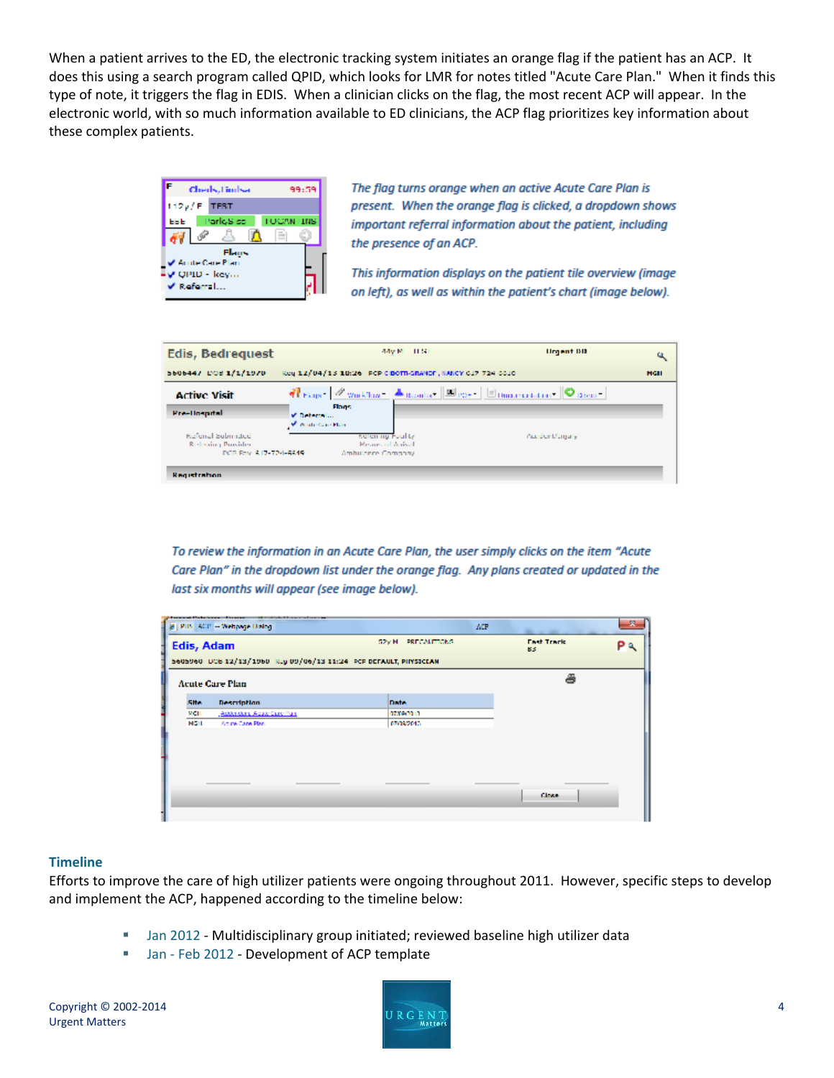When a patient arrives to the ED, the electronic tracking system initiates an orange flag if the patient has an ACP. It does this using a search program called QPID, which looks for LMR for notes titled "Acute Care Plan." When it finds this type of note, it triggers the flag in EDIS. When a clinician clicks on the flag, the most recent ACP will appear. In the electronic world, with so much information available to ED clinicians, the ACP flag prioritizes key information about these complex patients.



The flag turns orange when an active Acute Care Plan is present. When the orange flag is clicked, a dropdown shows important referral information about the patient, including the presence of an ACP.

This information displays on the patient tile overview (image on left), as well as within the patient's chart (image below).



To review the information in an Acute Care Plan, the user simply clicks on the item "Acute Care Plan" in the dropdown list under the orange flag. Any plans created or updated in the last six months will appear (see image below).

|                                                                  | #   PIB   ACP - Webpage Distog | MP.                | <b>Barried Address</b> | × |  |  |  |  |
|------------------------------------------------------------------|--------------------------------|--------------------|------------------------|---|--|--|--|--|
| Edis, Adam                                                       |                                | SPV M PRECAUTIONS. | <b>Lad Track</b><br>83 |   |  |  |  |  |
| 5605960 DOB 12/13/1960 Reg 09/06/13 11:24 PCP DEFAULT, PIPSICLAN |                                |                    |                        |   |  |  |  |  |
|                                                                  | <b>Acute Care Plan</b>         |                    | Д                      |   |  |  |  |  |
| <b>S. Han</b>                                                    | Description                    | Darbo.             |                        |   |  |  |  |  |
| MCH                                                              | Address Acto Capital           | 07/04/01 1         |                        |   |  |  |  |  |
| MGH                                                              | Anite Care Plan                | 070102015          |                        |   |  |  |  |  |
|                                                                  |                                |                    |                        |   |  |  |  |  |
|                                                                  |                                |                    |                        |   |  |  |  |  |
|                                                                  |                                |                    |                        |   |  |  |  |  |
|                                                                  |                                |                    |                        |   |  |  |  |  |
|                                                                  |                                |                    |                        |   |  |  |  |  |
|                                                                  |                                |                    | <b>Counties</b>        |   |  |  |  |  |

## **Timeline**

Efforts to improve the care of high utilizer patients were ongoing throughout 2011. However, specific steps to develop and implement the ACP, happened according to the timeline below:

- **Jan 2012 Multidisciplinary group initiated; reviewed baseline high utilizer data**
- **Jan Feb 2012 Development of ACP template**

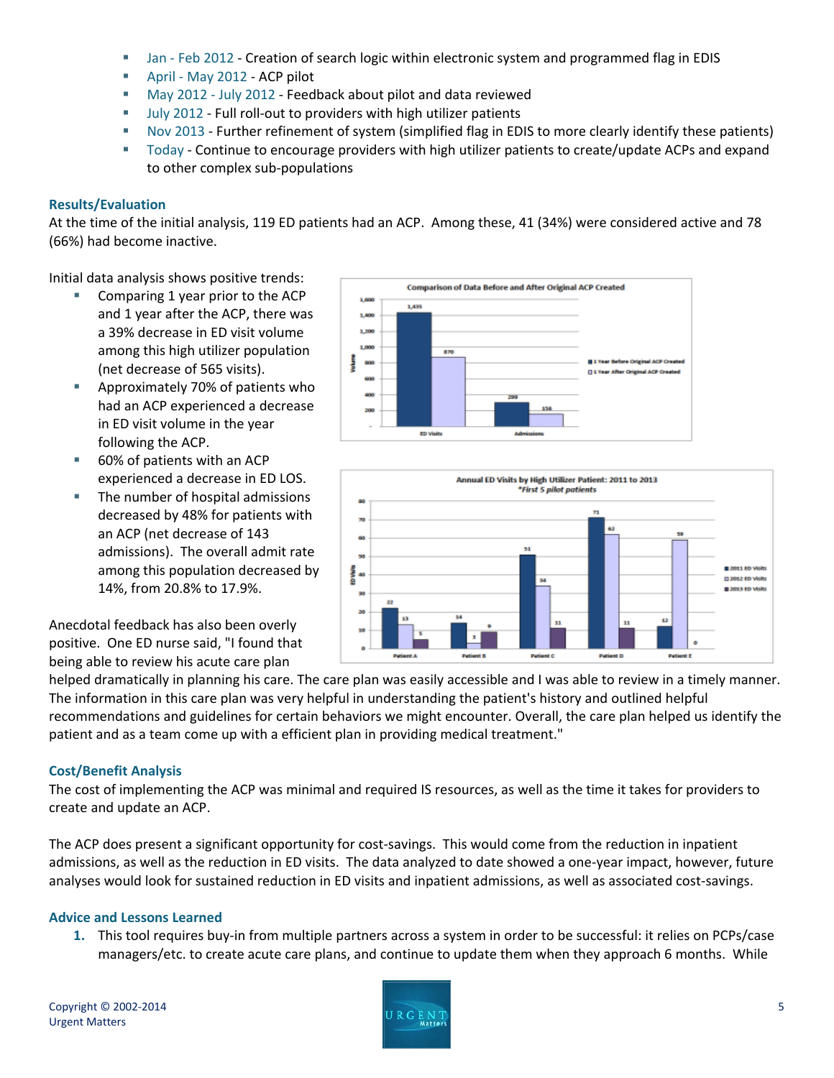- **Jan Feb 2012 Creation of search logic within electronic system and programmed flag in EDIS**
- April May 2012 ACP pilot
- May 2012 July 2012 Feedback about pilot and data reviewed
- **July 2012 Full roll-out to providers with high utilizer patients**
- Nov 2013 Further refinement of system (simplified flag in EDIS to more clearly identify these patients)
- Today Continue to encourage providers with high utilizer patients to create/update ACPs and expand to other complex sub-populations

### **Results/Evaluation**

At the time of the initial analysis, 119 ED patients had an ACP. Among these, 41 (34%) were considered active and 78 (66%) had become inactive.

1,435

1,600

1,400 1,200 1,000

Initial data analysis shows positive trends:

- Comparing 1 year prior to the ACP and 1 year after the ACP, there was a 39% decrease in ED visit volume among this high utilizer population (net decrease of 565 visits).
- **E** Approximately 70% of patients who had an ACP experienced a decrease in ED visit volume in the year following the ACP.
- 60% of patients with an ACP experienced a decrease in ED LOS.
- The number of hospital admissions decreased by 48% for patients with an ACP (net decrease of 143 admissions). The overall admit rate among this population decreased by 14%, from 20.8% to 17.9%.

Anecdotal feedback has also been overly positive. One ED nurse said, "I found that being able to review his acute care plan

870 Il 1 Year Before Original ACP Cn å FL1 Year After Original ACP Creat 200 **ED Visits** Annual ED Visits by High Utilizer Patient: 2011 to 2013 \*First 5 pilot patients

**Comparison of Data Before and After Original ACP Created** 



helped dramatically in planning his care. The care plan was easily accessible and I was able to review in a timely manner. The information in this care plan was very helpful in understanding the patient's history and outlined helpful recommendations and guidelines for certain behaviors we might encounter. Overall, the care plan helped us identify the patient and as a team come up with a efficient plan in providing medical treatment."

## **Cost/Benefit Analysis**

The cost of implementing the ACP was minimal and required IS resources, as well as the time it takes for providers to create and update an ACP.

The ACP does present a significant opportunity for cost-savings. This would come from the reduction in inpatient admissions, as well as the reduction in ED visits. The data analyzed to date showed a one-year impact, however, future analyses would look for sustained reduction in ED visits and inpatient admissions, as well as associated cost-savings.

### **Advice and Lessons Learned**

**1.** This tool requires buy-in from multiple partners across a system in order to be successful: it relies on PCPs/case managers/etc. to create acute care plans, and continue to update them when they approach 6 months. While

Copyright © 2002‐2014 Urgent Matters

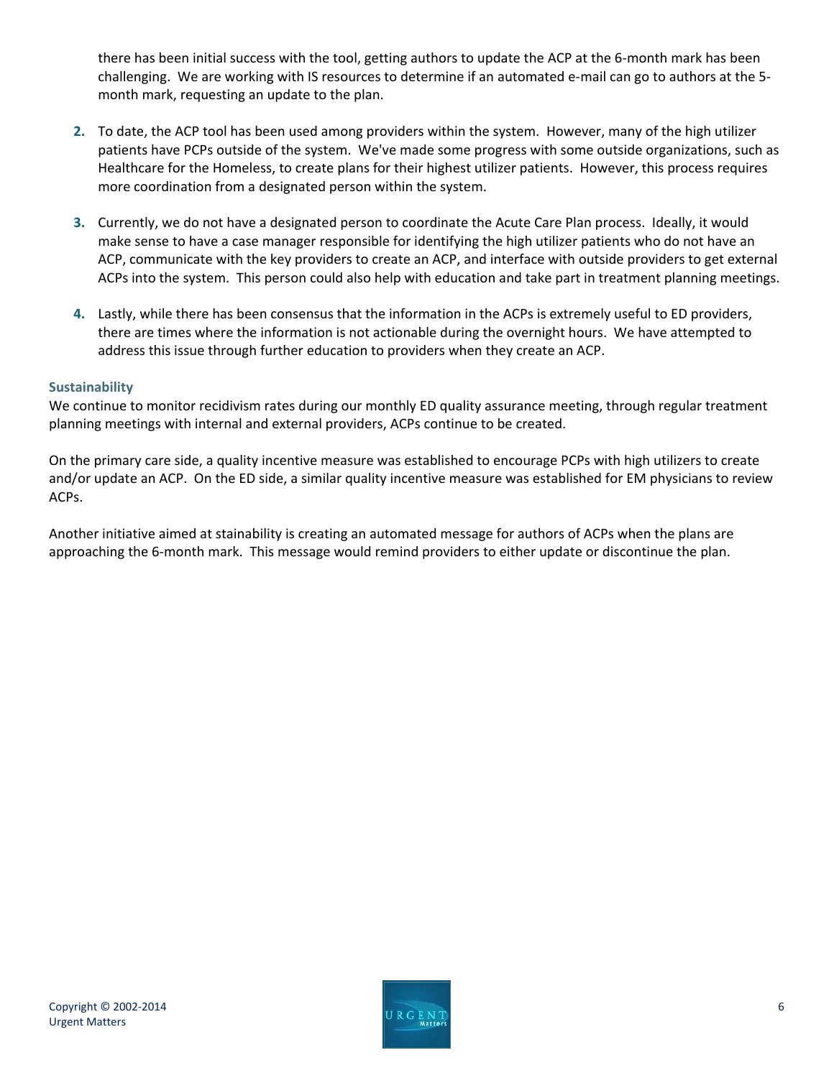there has been initial success with the tool, getting authors to update the ACP at the 6-month mark has been challenging. We are working with IS resources to determine if an automated e-mail can go to authors at the 5month mark, requesting an update to the plan.

- **2.** To date, the ACP tool has been used among providers within the system. However, many of the high utilizer patients have PCPs outside of the system. We've made some progress with some outside organizations, such as Healthcare for the Homeless, to create plans for their highest utilizer patients. However, this process requires more coordination from a designated person within the system.
- **3.** Currently, we do not have a designated person to coordinate the Acute Care Plan process. Ideally, it would make sense to have a case manager responsible for identifying the high utilizer patients who do not have an ACP, communicate with the key providers to create an ACP, and interface with outside providers to get external ACPs into the system. This person could also help with education and take part in treatment planning meetings.
- **4.** Lastly, while there has been consensus that the information in the ACPs is extremely useful to ED providers, there are times where the information is not actionable during the overnight hours. We have attempted to address this issue through further education to providers when they create an ACP.

### **Sustainability**

We continue to monitor recidivism rates during our monthly ED quality assurance meeting, through regular treatment planning meetings with internal and external providers, ACPs continue to be created.

On the primary care side, a quality incentive measure was established to encourage PCPs with high utilizers to create and/or update an ACP. On the ED side, a similar quality incentive measure was established for EM physicians to review ACPs.

Another initiative aimed at stainability is creating an automated message for authors of ACPs when the plans are approaching the 6-month mark. This message would remind providers to either update or discontinue the plan.